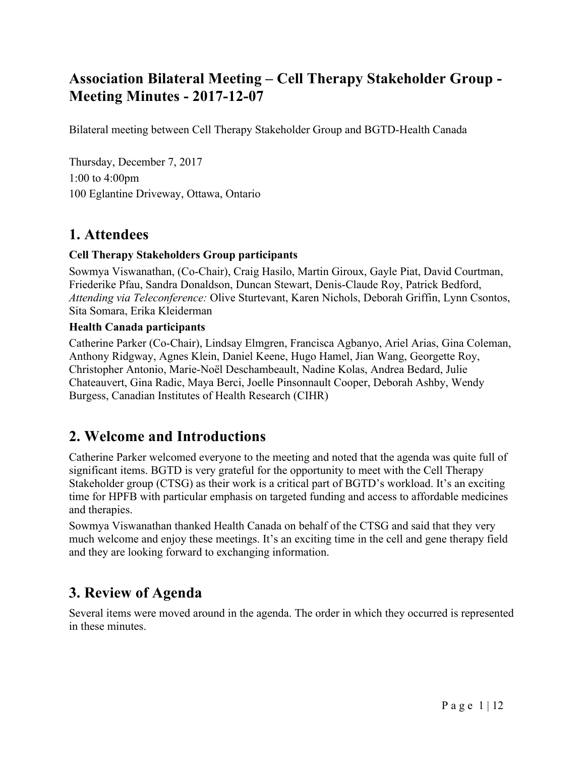# **Association Bilateral Meeting – Cell Therapy Stakeholder Group - Meeting Minutes - 2017-12-07**

Bilateral meeting between Cell Therapy Stakeholder Group and BGTD-Health Canada

Thursday, December 7, 2017 1:00 to 4:00pm 100 Eglantine Driveway, Ottawa, Ontario

### **1. Attendees**

#### **Cell Therapy Stakeholders Group participants**

Sowmya Viswanathan, (Co-Chair), Craig Hasilo, Martin Giroux, Gayle Piat, David Courtman, Friederike Pfau, Sandra Donaldson, Duncan Stewart, Denis-Claude Roy, Patrick Bedford, *Attending via Teleconference:* Olive Sturtevant, Karen Nichols, Deborah Griffin, Lynn Csontos, Sita Somara, Erika Kleiderman

#### **Health Canada participants**

Catherine Parker (Co-Chair), Lindsay Elmgren, Francisca Agbanyo, Ariel Arias, Gina Coleman, Anthony Ridgway, Agnes Klein, Daniel Keene, Hugo Hamel, Jian Wang, Georgette Roy, Christopher Antonio, Marie-Noël Deschambeault, Nadine Kolas, Andrea Bedard, Julie Chateauvert, Gina Radic, Maya Berci, Joelle Pinsonnault Cooper, Deborah Ashby, Wendy Burgess, Canadian Institutes of Health Research (CIHR)

### **2. Welcome and Introductions**

Catherine Parker welcomed everyone to the meeting and noted that the agenda was quite full of significant items. BGTD is very grateful for the opportunity to meet with the Cell Therapy Stakeholder group (CTSG) as their work is a critical part of BGTD's workload. It's an exciting time for HPFB with particular emphasis on targeted funding and access to affordable medicines and therapies.

Sowmya Viswanathan thanked Health Canada on behalf of the CTSG and said that they very much welcome and enjoy these meetings. It's an exciting time in the cell and gene therapy field and they are looking forward to exchanging information.

# **3. Review of Agenda**

Several items were moved around in the agenda. The order in which they occurred is represented in these minutes.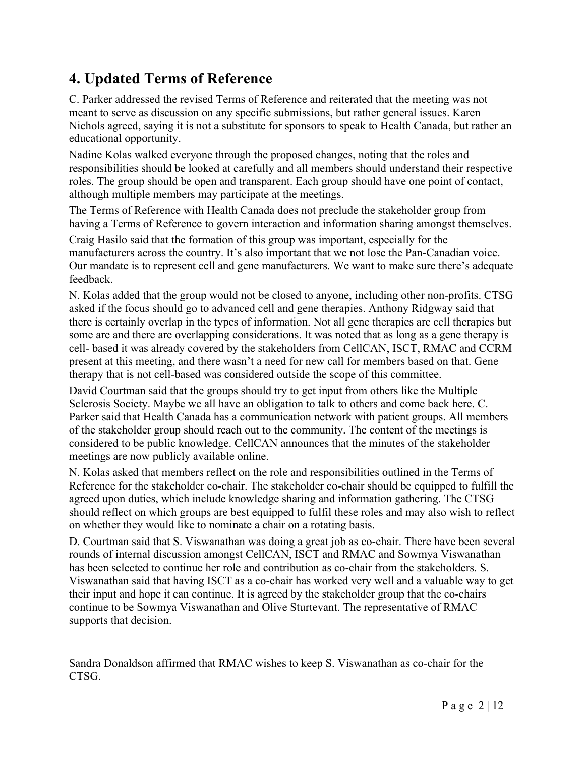# **4. Updated Terms of Reference**

C. Parker addressed the revised Terms of Reference and reiterated that the meeting was not meant to serve as discussion on any specific submissions, but rather general issues. Karen Nichols agreed, saying it is not a substitute for sponsors to speak to Health Canada, but rather an educational opportunity.

Nadine Kolas walked everyone through the proposed changes, noting that the roles and responsibilities should be looked at carefully and all members should understand their respective roles. The group should be open and transparent. Each group should have one point of contact, although multiple members may participate at the meetings.

The Terms of Reference with Health Canada does not preclude the stakeholder group from having a Terms of Reference to govern interaction and information sharing amongst themselves.

Craig Hasilo said that the formation of this group was important, especially for the manufacturers across the country. It's also important that we not lose the Pan-Canadian voice. Our mandate is to represent cell and gene manufacturers. We want to make sure there's adequate feedback.

N. Kolas added that the group would not be closed to anyone, including other non-profits. CTSG asked if the focus should go to advanced cell and gene therapies. Anthony Ridgway said that there is certainly overlap in the types of information. Not all gene therapies are cell therapies but some are and there are overlapping considerations. It was noted that as long as a gene therapy is cell- based it was already covered by the stakeholders from CellCAN, ISCT, RMAC and CCRM present at this meeting, and there wasn't a need for new call for members based on that. Gene therapy that is not cell-based was considered outside the scope of this committee.

David Courtman said that the groups should try to get input from others like the Multiple Sclerosis Society. Maybe we all have an obligation to talk to others and come back here. C. Parker said that Health Canada has a communication network with patient groups. All members of the stakeholder group should reach out to the community. The content of the meetings is considered to be public knowledge. CellCAN announces that the minutes of the stakeholder meetings are now publicly available online.

N. Kolas asked that members reflect on the role and responsibilities outlined in the Terms of Reference for the stakeholder co-chair. The stakeholder co-chair should be equipped to fulfill the agreed upon duties, which include knowledge sharing and information gathering. The CTSG should reflect on which groups are best equipped to fulfil these roles and may also wish to reflect on whether they would like to nominate a chair on a rotating basis.

D. Courtman said that S. Viswanathan was doing a great job as co-chair. There have been several rounds of internal discussion amongst CellCAN, ISCT and RMAC and Sowmya Viswanathan has been selected to continue her role and contribution as co-chair from the stakeholders. S. Viswanathan said that having ISCT as a co-chair has worked very well and a valuable way to get their input and hope it can continue. It is agreed by the stakeholder group that the co-chairs continue to be Sowmya Viswanathan and Olive Sturtevant. The representative of RMAC supports that decision.

Sandra Donaldson affirmed that RMAC wishes to keep S. Viswanathan as co-chair for the CTSG.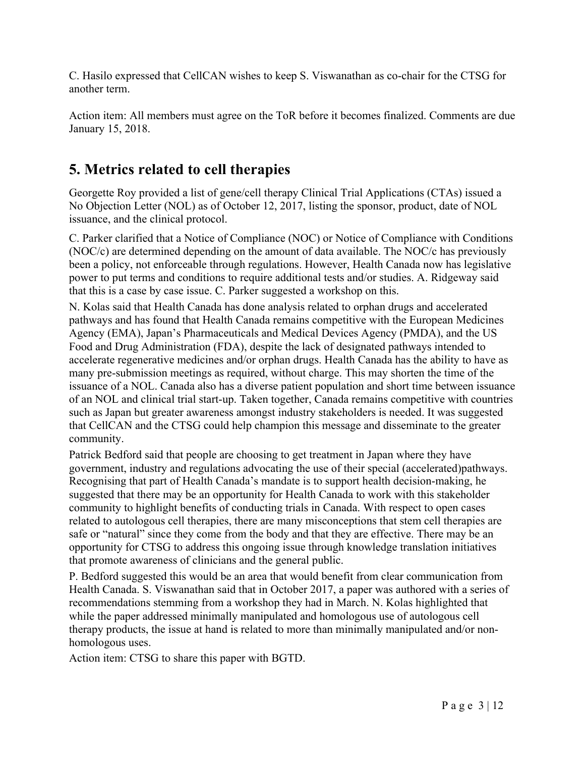C. Hasilo expressed that CellCAN wishes to keep S. Viswanathan as co-chair for the CTSG for another term.

Action item: All members must agree on the ToR before it becomes finalized. Comments are due January 15, 2018.

## **5. Metrics related to cell therapies**

Georgette Roy provided a list of gene/cell therapy Clinical Trial Applications (CTAs) issued a No Objection Letter (NOL) as of October 12, 2017, listing the sponsor, product, date of NOL issuance, and the clinical protocol.

C. Parker clarified that a Notice of Compliance (NOC) or Notice of Compliance with Conditions (NOC/c) are determined depending on the amount of data available. The NOC/c has previously been a policy, not enforceable through regulations. However, Health Canada now has legislative power to put terms and conditions to require additional tests and/or studies. A. Ridgeway said that this is a case by case issue. C. Parker suggested a workshop on this.

N. Kolas said that Health Canada has done analysis related to orphan drugs and accelerated pathways and has found that Health Canada remains competitive with the European Medicines Agency (EMA), Japan's Pharmaceuticals and Medical Devices Agency (PMDA), and the US Food and Drug Administration (FDA), despite the lack of designated pathways intended to accelerate regenerative medicines and/or orphan drugs. Health Canada has the ability to have as many pre-submission meetings as required, without charge. This may shorten the time of the issuance of a NOL. Canada also has a diverse patient population and short time between issuance of an NOL and clinical trial start-up. Taken together, Canada remains competitive with countries such as Japan but greater awareness amongst industry stakeholders is needed. It was suggested that CellCAN and the CTSG could help champion this message and disseminate to the greater community.

Patrick Bedford said that people are choosing to get treatment in Japan where they have government, industry and regulations advocating the use of their special (accelerated)pathways. Recognising that part of Health Canada's mandate is to support health decision-making, he suggested that there may be an opportunity for Health Canada to work with this stakeholder community to highlight benefits of conducting trials in Canada. With respect to open cases related to autologous cell therapies, there are many misconceptions that stem cell therapies are safe or "natural" since they come from the body and that they are effective. There may be an opportunity for CTSG to address this ongoing issue through knowledge translation initiatives that promote awareness of clinicians and the general public.

P. Bedford suggested this would be an area that would benefit from clear communication from Health Canada. S. Viswanathan said that in October 2017, a paper was authored with a series of recommendations stemming from a workshop they had in March. N. Kolas highlighted that while the paper addressed minimally manipulated and homologous use of autologous cell therapy products, the issue at hand is related to more than minimally manipulated and/or nonhomologous uses.

Action item: CTSG to share this paper with BGTD.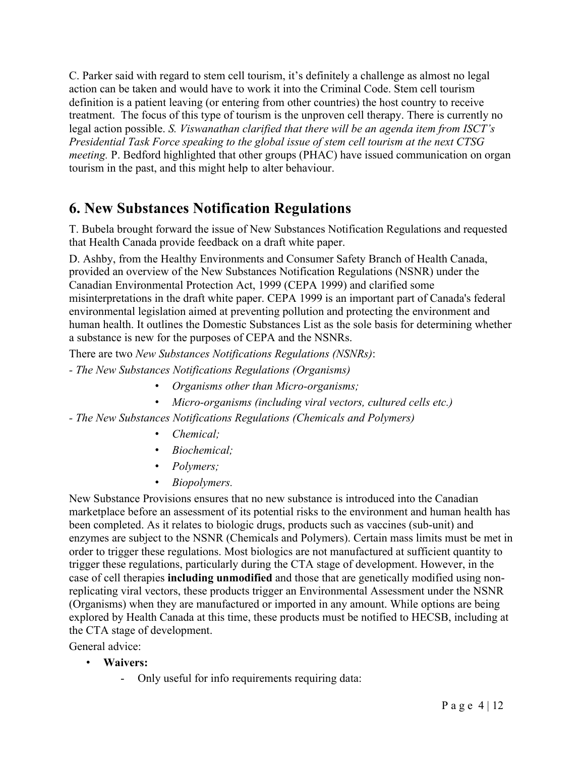C. Parker said with regard to stem cell tourism, it's definitely a challenge as almost no legal action can be taken and would have to work it into the Criminal Code. Stem cell tourism definition is a patient leaving (or entering from other countries) the host country to receive treatment. The focus of this type of tourism is the unproven cell therapy. There is currently no legal action possible. *S. Viswanathan clarified that there will be an agenda item from ISCT's Presidential Task Force speaking to the global issue of stem cell tourism at the next CTSG meeting.* P. Bedford highlighted that other groups (PHAC) have issued communication on organ tourism in the past, and this might help to alter behaviour.

### **6. New Substances Notification Regulations**

T. Bubela brought forward the issue of New Substances Notification Regulations and requested that Health Canada provide feedback on a draft white paper.

D. Ashby, from the Healthy Environments and Consumer Safety Branch of Health Canada, provided an overview of the New Substances Notification Regulations (NSNR) under the Canadian Environmental Protection Act, 1999 (CEPA 1999) and clarified some misinterpretations in the draft white paper. CEPA 1999 is an important part of Canada's federal environmental legislation aimed at preventing pollution and protecting the environment and human health. It outlines the Domestic Substances List as the sole basis for determining whether a substance is new for the purposes of CEPA and the NSNRs.

There are two *New Substances Notifications Regulations (NSNRs)*:

- *- The New Substances Notifications Regulations (Organisms)*
	- *Organisms other than Micro-organisms;*
	- *Micro-organisms (including viral vectors, cultured cells etc.)*
- *- The New Substances Notifications Regulations (Chemicals and Polymers)*
	- *Chemical;*
	- *Biochemical;*
	- *Polymers;*
	- *Biopolymers.*

New Substance Provisions ensures that no new substance is introduced into the Canadian marketplace before an assessment of its potential risks to the environment and human health has been completed. As it relates to biologic drugs, products such as vaccines (sub-unit) and enzymes are subject to the NSNR (Chemicals and Polymers). Certain mass limits must be met in order to trigger these regulations. Most biologics are not manufactured at sufficient quantity to trigger these regulations, particularly during the CTA stage of development. However, in the case of cell therapies **including unmodified** and those that are genetically modified using nonreplicating viral vectors, these products trigger an Environmental Assessment under the NSNR (Organisms) when they are manufactured or imported in any amount. While options are being explored by Health Canada at this time, these products must be notified to HECSB, including at the CTA stage of development.

General advice:

- **Waivers:** 
	- Only useful for info requirements requiring data: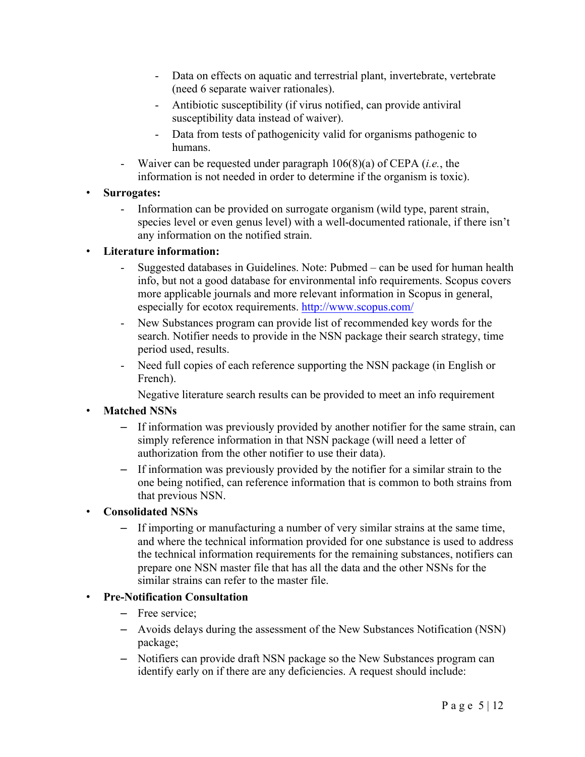- Data on effects on aquatic and terrestrial plant, invertebrate, vertebrate (need 6 separate waiver rationales).
- Antibiotic susceptibility (if virus notified, can provide antiviral susceptibility data instead of waiver).
- Data from tests of pathogenicity valid for organisms pathogenic to humans.
- Waiver can be requested under paragraph 106(8)(a) of CEPA (*i.e.*, the information is not needed in order to determine if the organism is toxic).

#### • **Surrogates:**

- Information can be provided on surrogate organism (wild type, parent strain, species level or even genus level) with a well-documented rationale, if there isn't any information on the notified strain.

#### • **Literature information:**

- Suggested databases in Guidelines. Note: Pubmed can be used for human health info, but not a good database for environmental info requirements. Scopus covers more applicable journals and more relevant information in Scopus in general, especially for ecotox requirements. http://www.scopus.com/
- New Substances program can provide list of recommended key words for the search. Notifier needs to provide in the NSN package their search strategy, time period used, results.
- Need full copies of each reference supporting the NSN package (in English or French).

Negative literature search results can be provided to meet an info requirement

#### • **Matched NSNs**

- If information was previously provided by another notifier for the same strain, can simply reference information in that NSN package (will need a letter of authorization from the other notifier to use their data).
- If information was previously provided by the notifier for a similar strain to the one being notified, can reference information that is common to both strains from that previous NSN.

#### • **Consolidated NSNs**

– If importing or manufacturing a number of very similar strains at the same time, and where the technical information provided for one substance is used to address the technical information requirements for the remaining substances, notifiers can prepare one NSN master file that has all the data and the other NSNs for the similar strains can refer to the master file.

#### • **Pre-Notification Consultation**

- Free service;
- Avoids delays during the assessment of the New Substances Notification (NSN) package;
- Notifiers can provide draft NSN package so the New Substances program can identify early on if there are any deficiencies. A request should include: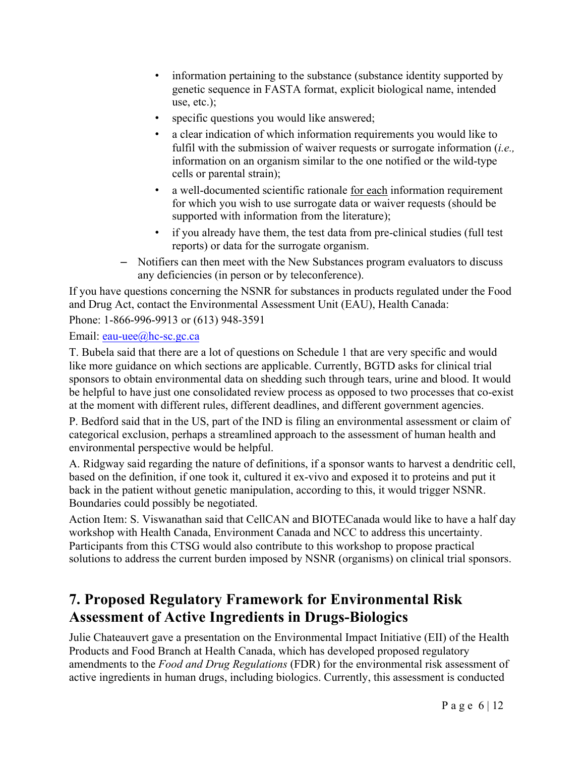- information pertaining to the substance (substance identity supported by genetic sequence in FASTA format, explicit biological name, intended use, etc.);
- specific questions you would like answered;
- a clear indication of which information requirements you would like to fulfil with the submission of waiver requests or surrogate information (*i.e.,*  information on an organism similar to the one notified or the wild-type cells or parental strain);
- a well-documented scientific rationale for each information requirement for which you wish to use surrogate data or waiver requests (should be supported with information from the literature);
- if you already have them, the test data from pre-clinical studies (full test reports) or data for the surrogate organism.
- Notifiers can then meet with the New Substances program evaluators to discuss any deficiencies (in person or by teleconference).

If you have questions concerning the NSNR for substances in products regulated under the Food and Drug Act, contact the Environmental Assessment Unit (EAU), Health Canada:

Phone: 1-866-996-9913 or (613) 948-3591

#### Email: eau-uee@hc-sc.gc.ca

T. Bubela said that there are a lot of questions on Schedule 1 that are very specific and would like more guidance on which sections are applicable. Currently, BGTD asks for clinical trial sponsors to obtain environmental data on shedding such through tears, urine and blood. It would be helpful to have just one consolidated review process as opposed to two processes that co-exist at the moment with different rules, different deadlines, and different government agencies.

P. Bedford said that in the US, part of the IND is filing an environmental assessment or claim of categorical exclusion, perhaps a streamlined approach to the assessment of human health and environmental perspective would be helpful.

A. Ridgway said regarding the nature of definitions, if a sponsor wants to harvest a dendritic cell, based on the definition, if one took it, cultured it ex-vivo and exposed it to proteins and put it back in the patient without genetic manipulation, according to this, it would trigger NSNR. Boundaries could possibly be negotiated.

Action Item: S. Viswanathan said that CellCAN and BIOTECanada would like to have a half day workshop with Health Canada, Environment Canada and NCC to address this uncertainty. Participants from this CTSG would also contribute to this workshop to propose practical solutions to address the current burden imposed by NSNR (organisms) on clinical trial sponsors.

## **7. Proposed Regulatory Framework for Environmental Risk Assessment of Active Ingredients in Drugs-Biologics**

Julie Chateauvert gave a presentation on the Environmental Impact Initiative (EII) of the Health Products and Food Branch at Health Canada, which has developed proposed regulatory amendments to the *Food and Drug Regulations* (FDR) for the environmental risk assessment of active ingredients in human drugs, including biologics. Currently, this assessment is conducted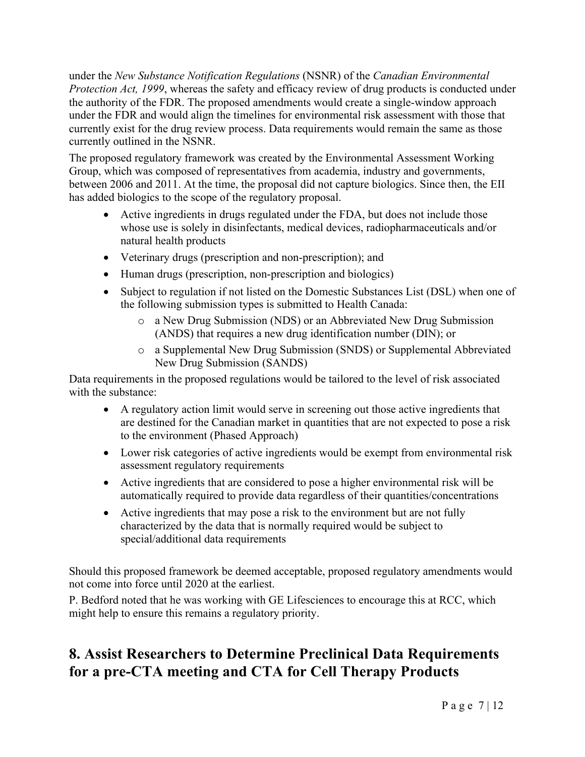under the *New Substance Notification Regulations* (NSNR) of the *Canadian Environmental Protection Act, 1999*, whereas the safety and efficacy review of drug products is conducted under the authority of the FDR. The proposed amendments would create a single-window approach under the FDR and would align the timelines for environmental risk assessment with those that currently exist for the drug review process. Data requirements would remain the same as those currently outlined in the NSNR.

The proposed regulatory framework was created by the Environmental Assessment Working Group, which was composed of representatives from academia, industry and governments, between 2006 and 2011. At the time, the proposal did not capture biologics. Since then, the EII has added biologics to the scope of the regulatory proposal.

- Active ingredients in drugs regulated under the FDA, but does not include those whose use is solely in disinfectants, medical devices, radiopharmaceuticals and/or natural health products
- Veterinary drugs (prescription and non-prescription); and
- Human drugs (prescription, non-prescription and biologics)
- Subject to regulation if not listed on the Domestic Substances List (DSL) when one of the following submission types is submitted to Health Canada:
	- o a New Drug Submission (NDS) or an Abbreviated New Drug Submission (ANDS) that requires a new drug identification number (DIN); or
	- o a Supplemental New Drug Submission (SNDS) or Supplemental Abbreviated New Drug Submission (SANDS)

Data requirements in the proposed regulations would be tailored to the level of risk associated with the substance:

- A regulatory action limit would serve in screening out those active ingredients that are destined for the Canadian market in quantities that are not expected to pose a risk to the environment (Phased Approach)
- Lower risk categories of active ingredients would be exempt from environmental risk assessment regulatory requirements
- Active ingredients that are considered to pose a higher environmental risk will be automatically required to provide data regardless of their quantities/concentrations
- Active ingredients that may pose a risk to the environment but are not fully characterized by the data that is normally required would be subject to special/additional data requirements

Should this proposed framework be deemed acceptable, proposed regulatory amendments would not come into force until 2020 at the earliest.

P. Bedford noted that he was working with GE Lifesciences to encourage this at RCC, which might help to ensure this remains a regulatory priority.

# **8. Assist Researchers to Determine Preclinical Data Requirements for a pre-CTA meeting and CTA for Cell Therapy Products**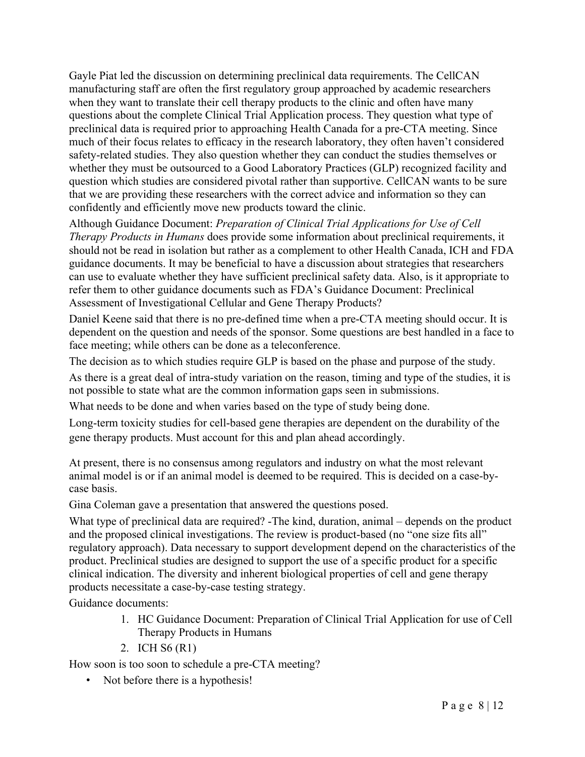Gayle Piat led the discussion on determining preclinical data requirements. The CellCAN manufacturing staff are often the first regulatory group approached by academic researchers when they want to translate their cell therapy products to the clinic and often have many questions about the complete Clinical Trial Application process. They question what type of preclinical data is required prior to approaching Health Canada for a pre-CTA meeting. Since much of their focus relates to efficacy in the research laboratory, they often haven't considered safety-related studies. They also question whether they can conduct the studies themselves or whether they must be outsourced to a Good Laboratory Practices (GLP) recognized facility and question which studies are considered pivotal rather than supportive. CellCAN wants to be sure that we are providing these researchers with the correct advice and information so they can confidently and efficiently move new products toward the clinic.

Although Guidance Document: *Preparation of Clinical Trial Applications for Use of Cell Therapy Products in Humans* does provide some information about preclinical requirements, it should not be read in isolation but rather as a complement to other Health Canada, ICH and FDA guidance documents. It may be beneficial to have a discussion about strategies that researchers can use to evaluate whether they have sufficient preclinical safety data. Also, is it appropriate to refer them to other guidance documents such as FDA's Guidance Document: Preclinical Assessment of Investigational Cellular and Gene Therapy Products?

Daniel Keene said that there is no pre-defined time when a pre-CTA meeting should occur. It is dependent on the question and needs of the sponsor. Some questions are best handled in a face to face meeting; while others can be done as a teleconference.

The decision as to which studies require GLP is based on the phase and purpose of the study.

As there is a great deal of intra-study variation on the reason, timing and type of the studies, it is not possible to state what are the common information gaps seen in submissions.

What needs to be done and when varies based on the type of study being done.

Long-term toxicity studies for cell-based gene therapies are dependent on the durability of the gene therapy products. Must account for this and plan ahead accordingly.

At present, there is no consensus among regulators and industry on what the most relevant animal model is or if an animal model is deemed to be required. This is decided on a case-bycase basis.

Gina Coleman gave a presentation that answered the questions posed.

What type of preclinical data are required? -The kind, duration, animal – depends on the product and the proposed clinical investigations. The review is product-based (no "one size fits all" regulatory approach). Data necessary to support development depend on the characteristics of the product. Preclinical studies are designed to support the use of a specific product for a specific clinical indication. The diversity and inherent biological properties of cell and gene therapy products necessitate a case-by-case testing strategy.

Guidance documents:

- 1. HC Guidance Document: Preparation of Clinical Trial Application for use of Cell Therapy Products in Humans
- 2. ICH S6 (R1)

How soon is too soon to schedule a pre-CTA meeting?

• Not before there is a hypothesis!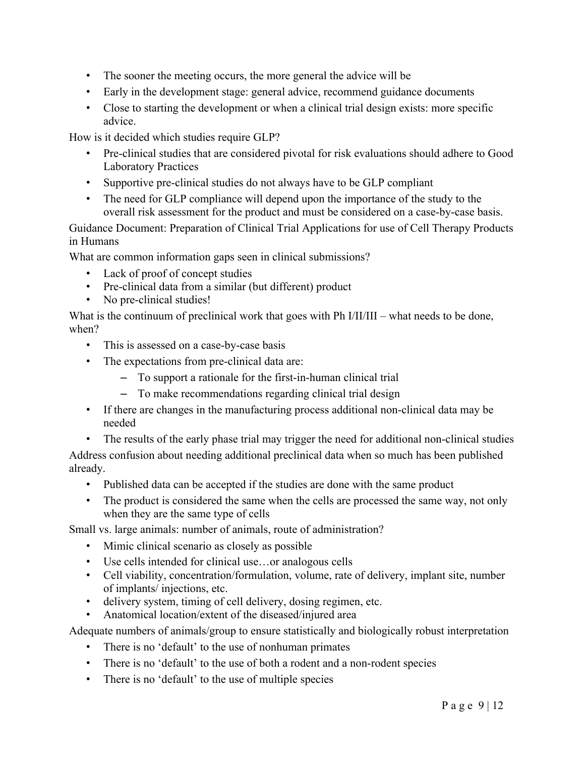- The sooner the meeting occurs, the more general the advice will be
- Early in the development stage: general advice, recommend guidance documents
- Close to starting the development or when a clinical trial design exists: more specific advice.

How is it decided which studies require GLP?

- Pre-clinical studies that are considered pivotal for risk evaluations should adhere to Good Laboratory Practices
- Supportive pre-clinical studies do not always have to be GLP compliant
- The need for GLP compliance will depend upon the importance of the study to the overall risk assessment for the product and must be considered on a case-by-case basis.

Guidance Document: Preparation of Clinical Trial Applications for use of Cell Therapy Products in Humans

What are common information gaps seen in clinical submissions?

- Lack of proof of concept studies
- Pre-clinical data from a similar (but different) product
- No pre-clinical studies!

What is the continuum of preclinical work that goes with Ph I/II/III – what needs to be done, when?

- This is assessed on a case-by-case basis
- The expectations from pre-clinical data are:
	- To support a rationale for the first-in-human clinical trial
	- To make recommendations regarding clinical trial design
- If there are changes in the manufacturing process additional non-clinical data may be needed
- The results of the early phase trial may trigger the need for additional non-clinical studies

Address confusion about needing additional preclinical data when so much has been published already.

- Published data can be accepted if the studies are done with the same product
- The product is considered the same when the cells are processed the same way, not only when they are the same type of cells

Small vs. large animals: number of animals, route of administration?

- Mimic clinical scenario as closely as possible
- Use cells intended for clinical use…or analogous cells
- Cell viability, concentration/formulation, volume, rate of delivery, implant site, number of implants/ injections, etc.
- delivery system, timing of cell delivery, dosing regimen, etc.
- Anatomical location/extent of the diseased/injured area

Adequate numbers of animals/group to ensure statistically and biologically robust interpretation

- There is no 'default' to the use of nonhuman primates
- There is no 'default' to the use of both a rodent and a non-rodent species
- There is no 'default' to the use of multiple species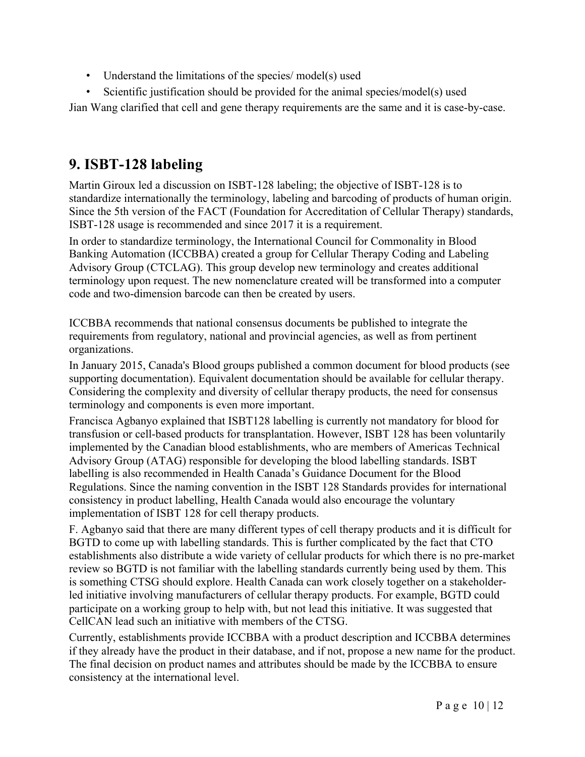- Understand the limitations of the species/ model(s) used
- Scientific justification should be provided for the animal species/model(s) used

Jian Wang clarified that cell and gene therapy requirements are the same and it is case-by-case.

# **9. ISBT-128 labeling**

Martin Giroux led a discussion on ISBT-128 labeling; the objective of ISBT-128 is to standardize internationally the terminology, labeling and barcoding of products of human origin. Since the 5th version of the FACT (Foundation for Accreditation of Cellular Therapy) standards, ISBT-128 usage is recommended and since 2017 it is a requirement.

In order to standardize terminology, the International Council for Commonality in Blood Banking Automation (ICCBBA) created a group for Cellular Therapy Coding and Labeling Advisory Group (CTCLAG). This group develop new terminology and creates additional terminology upon request. The new nomenclature created will be transformed into a computer code and two-dimension barcode can then be created by users.

ICCBBA recommends that national consensus documents be published to integrate the requirements from regulatory, national and provincial agencies, as well as from pertinent organizations.

In January 2015, Canada's Blood groups published a common document for blood products (see supporting documentation). Equivalent documentation should be available for cellular therapy. Considering the complexity and diversity of cellular therapy products, the need for consensus terminology and components is even more important.

Francisca Agbanyo explained that ISBT128 labelling is currently not mandatory for blood for transfusion or cell-based products for transplantation. However, ISBT 128 has been voluntarily implemented by the Canadian blood establishments, who are members of Americas Technical Advisory Group (ATAG) responsible for developing the blood labelling standards. ISBT labelling is also recommended in Health Canada's Guidance Document for the Blood Regulations. Since the naming convention in the ISBT 128 Standards provides for international consistency in product labelling, Health Canada would also encourage the voluntary implementation of ISBT 128 for cell therapy products.

F. Agbanyo said that there are many different types of cell therapy products and it is difficult for BGTD to come up with labelling standards. This is further complicated by the fact that CTO establishments also distribute a wide variety of cellular products for which there is no pre-market review so BGTD is not familiar with the labelling standards currently being used by them. This is something CTSG should explore. Health Canada can work closely together on a stakeholderled initiative involving manufacturers of cellular therapy products. For example, BGTD could participate on a working group to help with, but not lead this initiative. It was suggested that CellCAN lead such an initiative with members of the CTSG.

Currently, establishments provide ICCBBA with a product description and ICCBBA determines if they already have the product in their database, and if not, propose a new name for the product. The final decision on product names and attributes should be made by the ICCBBA to ensure consistency at the international level.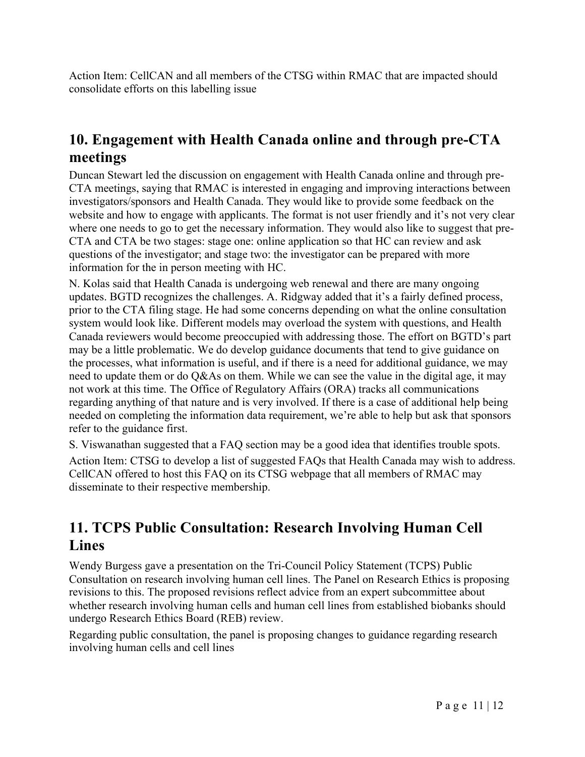Action Item: CellCAN and all members of the CTSG within RMAC that are impacted should consolidate efforts on this labelling issue

## **10. Engagement with Health Canada online and through pre-CTA meetings**

Duncan Stewart led the discussion on engagement with Health Canada online and through pre-CTA meetings, saying that RMAC is interested in engaging and improving interactions between investigators/sponsors and Health Canada. They would like to provide some feedback on the website and how to engage with applicants. The format is not user friendly and it's not very clear where one needs to go to get the necessary information. They would also like to suggest that pre-CTA and CTA be two stages: stage one: online application so that HC can review and ask questions of the investigator; and stage two: the investigator can be prepared with more information for the in person meeting with HC.

N. Kolas said that Health Canada is undergoing web renewal and there are many ongoing updates. BGTD recognizes the challenges. A. Ridgway added that it's a fairly defined process, prior to the CTA filing stage. He had some concerns depending on what the online consultation system would look like. Different models may overload the system with questions, and Health Canada reviewers would become preoccupied with addressing those. The effort on BGTD's part may be a little problematic. We do develop guidance documents that tend to give guidance on the processes, what information is useful, and if there is a need for additional guidance, we may need to update them or do Q&As on them. While we can see the value in the digital age, it may not work at this time. The Office of Regulatory Affairs (ORA) tracks all communications regarding anything of that nature and is very involved. If there is a case of additional help being needed on completing the information data requirement, we're able to help but ask that sponsors refer to the guidance first.

S. Viswanathan suggested that a FAQ section may be a good idea that identifies trouble spots.

Action Item: CTSG to develop a list of suggested FAQs that Health Canada may wish to address. CellCAN offered to host this FAQ on its CTSG webpage that all members of RMAC may disseminate to their respective membership.

## **11. TCPS Public Consultation: Research Involving Human Cell Lines**

Wendy Burgess gave a presentation on the Tri-Council Policy Statement (TCPS) Public Consultation on research involving human cell lines. The Panel on Research Ethics is proposing revisions to this. The proposed revisions reflect advice from an expert subcommittee about whether research involving human cells and human cell lines from established biobanks should undergo Research Ethics Board (REB) review.

Regarding public consultation, the panel is proposing changes to guidance regarding research involving human cells and cell lines